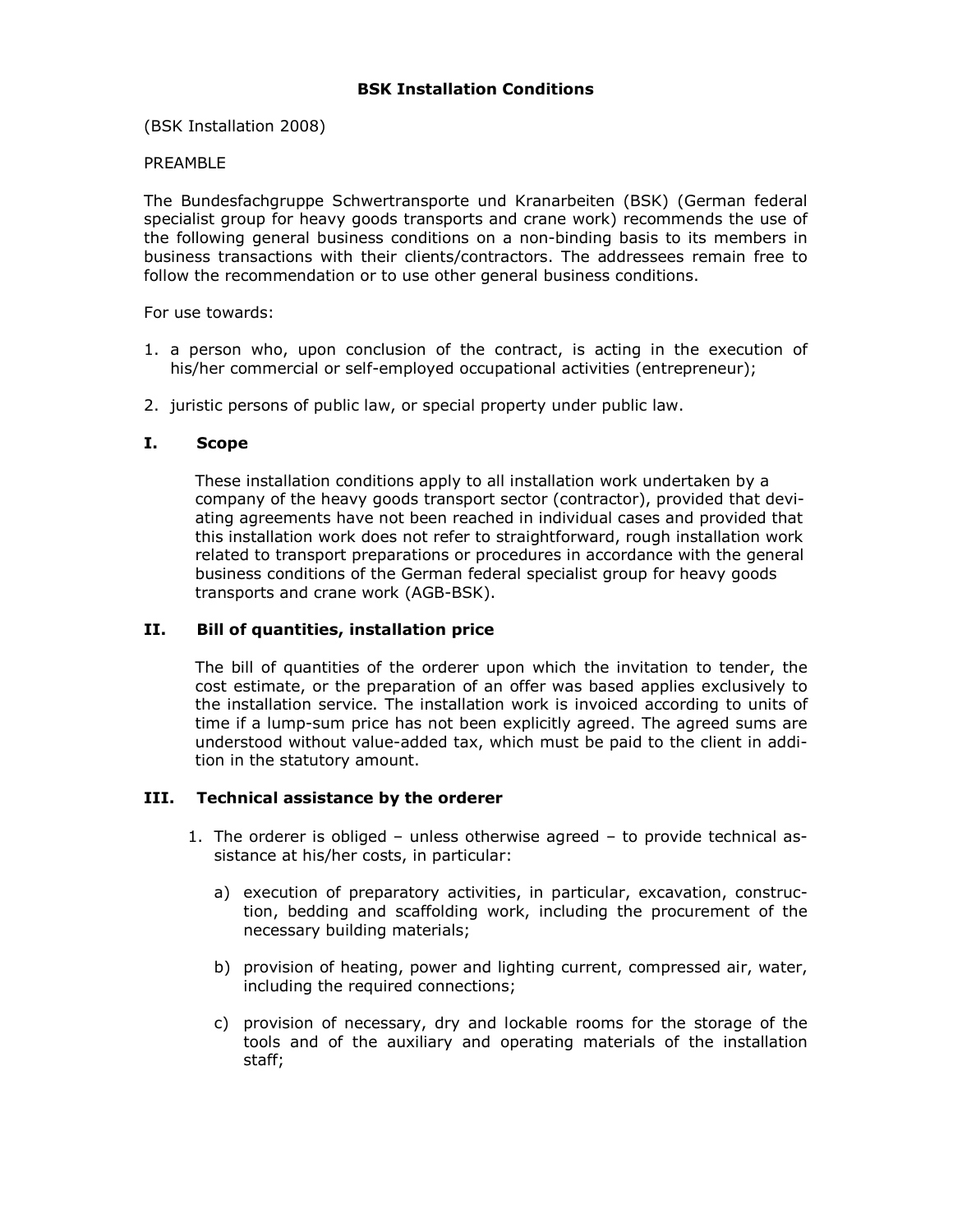(BSK Installation 2008)

#### PREAMBLE

The Bundesfachgruppe Schwertransporte und Kranarbeiten (BSK) (German federal specialist group for heavy goods transports and crane work) recommends the use of the following general business conditions on a non-binding basis to its members in business transactions with their clients/contractors. The addressees remain free to follow the recommendation or to use other general business conditions.

For use towards:

- 1. a person who, upon conclusion of the contract, is acting in the execution of his/her commercial or self-employed occupational activities (entrepreneur);
- 2. juristic persons of public law, or special property under public law.

#### I. Scope

These installation conditions apply to all installation work undertaken by a company of the heavy goods transport sector (contractor), provided that deviating agreements have not been reached in individual cases and provided that this installation work does not refer to straightforward, rough installation work related to transport preparations or procedures in accordance with the general business conditions of the German federal specialist group for heavy goods transports and crane work (AGB-BSK).

#### II. Bill of quantities, installation price

The bill of quantities of the orderer upon which the invitation to tender, the cost estimate, or the preparation of an offer was based applies exclusively to the installation service. The installation work is invoiced according to units of time if a lump-sum price has not been explicitly agreed. The agreed sums are understood without value-added tax, which must be paid to the client in addition in the statutory amount.

#### III. Technical assistance by the orderer

- 1. The orderer is obliged unless otherwise agreed to provide technical assistance at his/her costs, in particular:
	- a) execution of preparatory activities, in particular, excavation, construction, bedding and scaffolding work, including the procurement of the necessary building materials;
	- b) provision of heating, power and lighting current, compressed air, water, including the required connections;
	- c) provision of necessary, dry and lockable rooms for the storage of the tools and of the auxiliary and operating materials of the installation staff;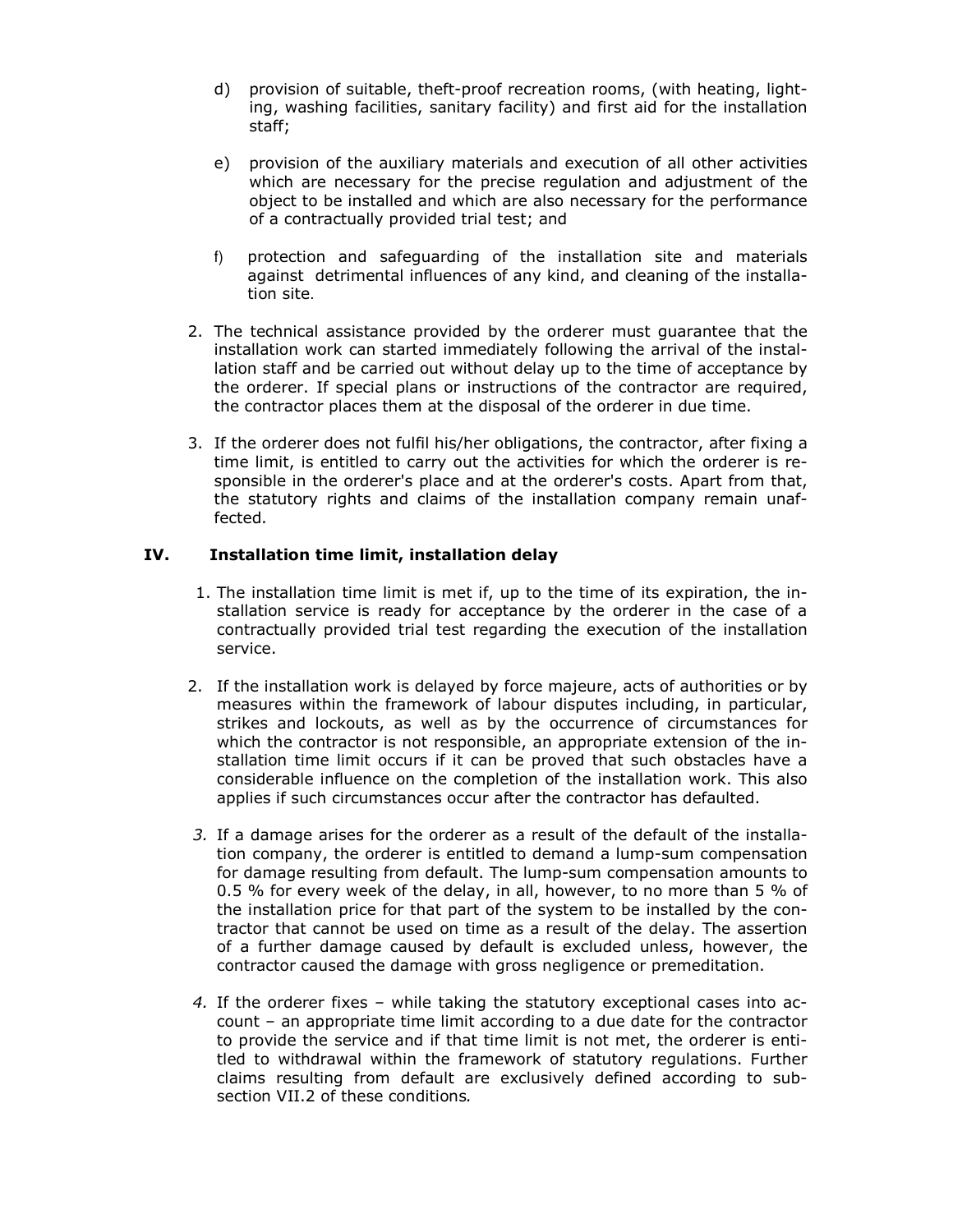- d) provision of suitable, theft-proof recreation rooms, (with heating, light ing, washing facilities, sanitary facility) and first aid for the installation staff;
- e) provision of the auxiliary materials and execution of all other activities which are necessary for the precise regulation and adjustment of the object to be installed and which are also necessary for the performance of a contractually provided trial test; and
- f) protection and safeguarding of the installation site and materials against detrimental influences of any kind, and cleaning of the installa tion site.
- 2. The technical assistance provided by the orderer must guarantee that the installation work can started immediately following the arrival of the installation staff and be carried out without delay up to the time of acceptance by the orderer. If special plans or instructions of the contractor are required, the contractor places them at the disposal of the orderer in due time.
- 3. If the orderer does not fulfil his/her obligations, the contractor, after fixing a time limit, is entitled to carry out the activities for which the orderer is responsible in the orderer's place and at the orderer's costs. Apart from that, the statutory rights and claims of the installation company remain unaffected.

## IV. Installation time limit, installation delay

- 1. The installation time limit is met if, up to the time of its expiration, the installation service is ready for acceptance by the orderer in the case of a contractually provided trial test regarding the execution of the installation service.
- 2. If the installation work is delayed by force majeure, acts of authorities or by measures within the framework of labour disputes including, in particular, strikes and lockouts, as well as by the occurrence of circumstances for which the contractor is not responsible, an appropriate extension of the installation time limit occurs if it can be proved that such obstacles have a considerable influence on the completion of the installation work. This also applies if such circumstances occur after the contractor has defaulted.
- 3. If a damage arises for the orderer as a result of the default of the installation company, the orderer is entitled to demand a lump-sum compensation for damage resulting from default. The lump-sum compensation amounts to 0.5 % for every week of the delay, in all, however, to no more than 5 % of the installation price for that part of the system to be installed by the contractor that cannot be used on time as a result of the delay. The assertion of a further damage caused by default is excluded unless, however, the contractor caused the damage with gross negligence or premeditation.
- 4. If the orderer fixes while taking the statutory exceptional cases into account – an appropriate time limit according to a due date for the contractor to provide the service and if that time limit is not met, the orderer is entitled to withdrawal within the framework of statutory regulations. Further claims resulting from default are exclusively defined according to subsection VII.2 of these conditions.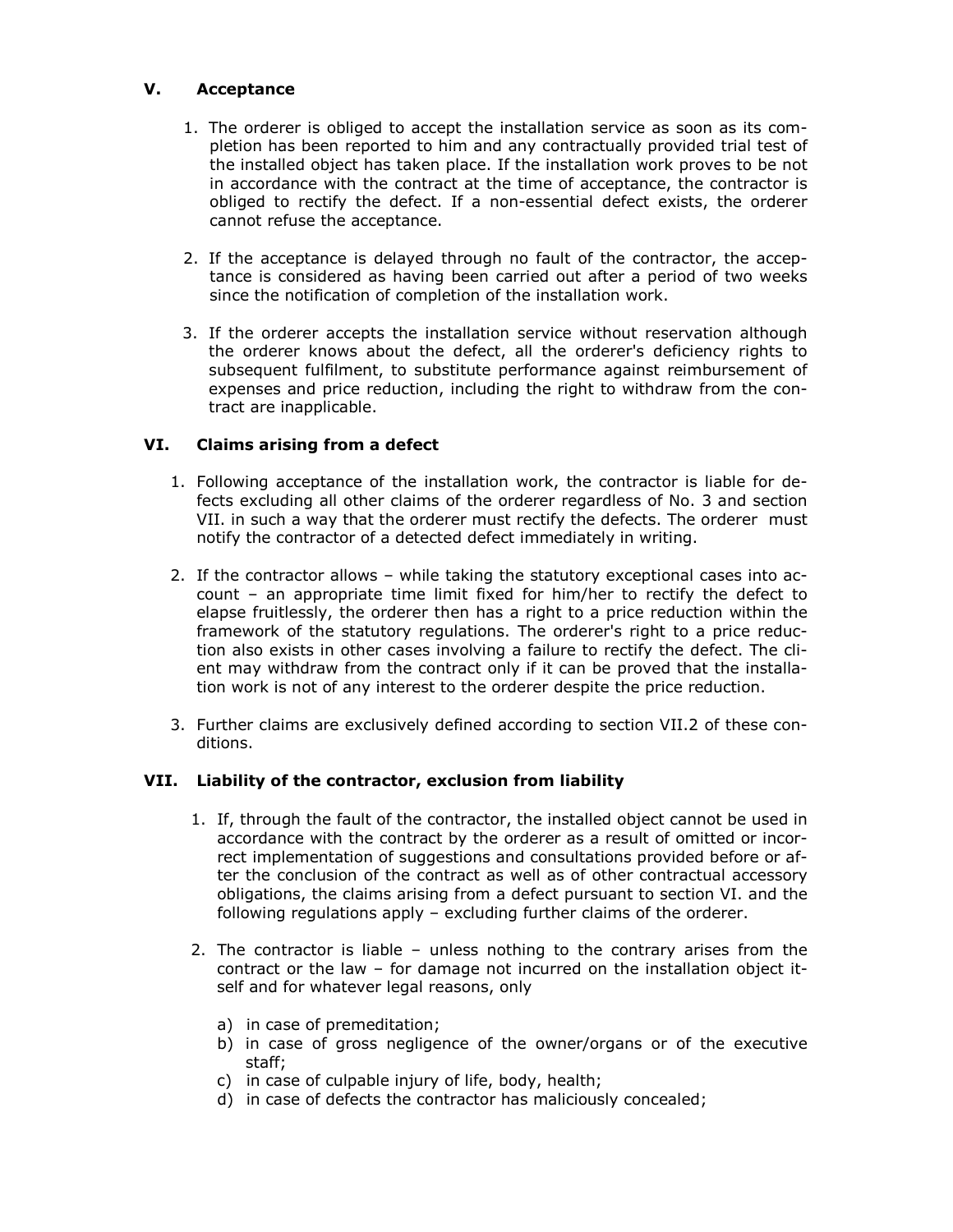## V. Acceptance

- 1. The orderer is obliged to accept the installation service as soon as its completion has been reported to him and any contractually provided trial test of the installed object has taken place. If the installation work proves to be not in accordance with the contract at the time of acceptance, the contractor is obliged to rectify the defect. If a non-essential defect exists, the orderer cannot refuse the acceptance.
- 2. If the acceptance is delayed through no fault of the contractor, the acceptance is considered as having been carried out after a period of two weeks since the notification of completion of the installation work.
- 3. If the orderer accepts the installation service without reservation although the orderer knows about the defect, all the orderer's deficiency rights to subsequent fulfilment, to substitute performance against reimbursement of expenses and price reduction, including the right to withdraw from the contract are inapplicable.

## VI. Claims arising from a defect

- 1. Following acceptance of the installation work, the contractor is liable for defects excluding all other claims of the orderer regardless of No. 3 and section VII. in such a way that the orderer must rectify the defects. The orderer must notify the contractor of a detected defect immediately in writing.
- 2. If the contractor allows while taking the statutory exceptional cases into account – an appropriate time limit fixed for him/her to rectify the defect to elapse fruitlessly, the orderer then has a right to a price reduction within the framework of the statutory regulations. The orderer's right to a price reduction also exists in other cases involving a failure to rectify the defect. The client may withdraw from the contract only if it can be proved that the installation work is not of any interest to the orderer despite the price reduction.
- 3. Further claims are exclusively defined according to section VII.2 of these conditions.

#### VII. Liability of the contractor, exclusion from liability

- 1. If, through the fault of the contractor, the installed object cannot be used in accordance with the contract by the orderer as a result of omitted or incorrect implementation of suggestions and consultations provided before or after the conclusion of the contract as well as of other contractual accessory obligations, the claims arising from a defect pursuant to section VI. and the following regulations apply – excluding further claims of the orderer.
- 2. The contractor is liable unless nothing to the contrary arises from the contract or the law – for damage not incurred on the installation object itself and for whatever legal reasons, only
	- a) in case of premeditation;
	- b) in case of gross negligence of the owner/organs or of the executive staff;
	- c) in case of culpable injury of life, body, health;
	- d) in case of defects the contractor has maliciously concealed;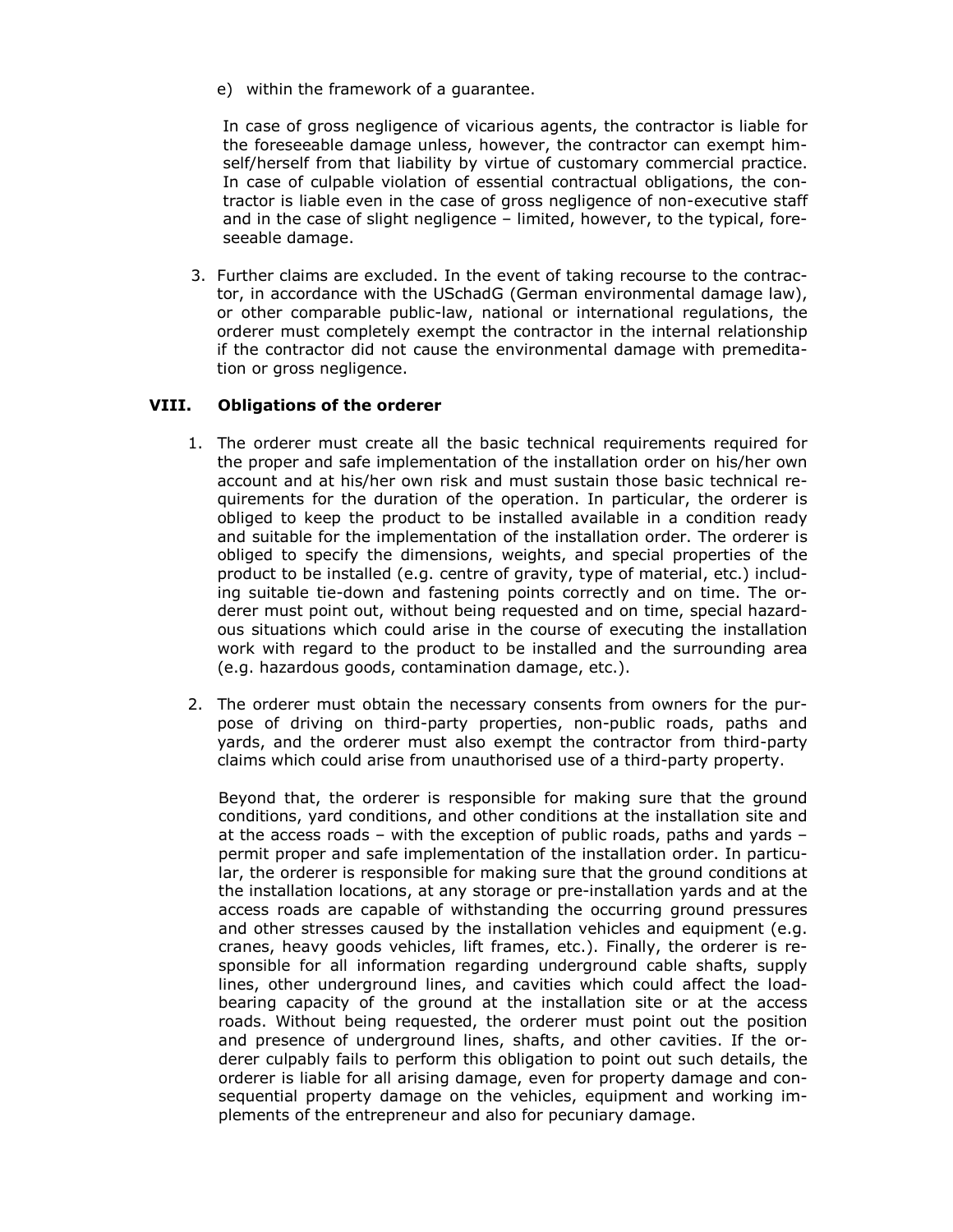e) within the framework of a guarantee.

In case of gross negligence of vicarious agents, the contractor is liable for the foreseeable damage unless, however, the contractor can exempt himself/herself from that liability by virtue of customary commercial practice. In case of culpable violation of essential contractual obligations, the contractor is liable even in the case of gross negligence of non-executive staff and in the case of slight negligence – limited, however, to the typical, foreseeable damage.

3. Further claims are excluded. In the event of taking recourse to the contractor, in accordance with the USchadG (German environmental damage law), or other comparable public-law, national or international regulations, the orderer must completely exempt the contractor in the internal relationship if the contractor did not cause the environmental damage with premeditation or gross negligence.

## VIII. Obligations of the orderer

- 1. The orderer must create all the basic technical requirements required for the proper and safe implementation of the installation order on his/her own account and at his/her own risk and must sustain those basic technical requirements for the duration of the operation. In particular, the orderer is obliged to keep the product to be installed available in a condition ready and suitable for the implementation of the installation order. The orderer is obliged to specify the dimensions, weights, and special properties of the product to be installed (e.g. centre of gravity, type of material, etc.) including suitable tie-down and fastening points correctly and on time. The orderer must point out, without being requested and on time, special hazardous situations which could arise in the course of executing the installation work with regard to the product to be installed and the surrounding area (e.g. hazardous goods, contamination damage, etc.).
- 2. The orderer must obtain the necessary consents from owners for the purpose of driving on third-party properties, non-public roads, paths and yards, and the orderer must also exempt the contractor from third-party claims which could arise from unauthorised use of a third-party property.

Beyond that, the orderer is responsible for making sure that the ground conditions, yard conditions, and other conditions at the installation site and at the access roads – with the exception of public roads, paths and yards – permit proper and safe implementation of the installation order. In particular, the orderer is responsible for making sure that the ground conditions at the installation locations, at any storage or pre-installation yards and at the access roads are capable of withstanding the occurring ground pressures and other stresses caused by the installation vehicles and equipment (e.g. cranes, heavy goods vehicles, lift frames, etc.). Finally, the orderer is responsible for all information regarding underground cable shafts, supply lines, other underground lines, and cavities which could affect the loadbearing capacity of the ground at the installation site or at the access roads. Without being requested, the orderer must point out the position and presence of underground lines, shafts, and other cavities. If the orderer culpably fails to perform this obligation to point out such details, the orderer is liable for all arising damage, even for property damage and consequential property damage on the vehicles, equipment and working implements of the entrepreneur and also for pecuniary damage.